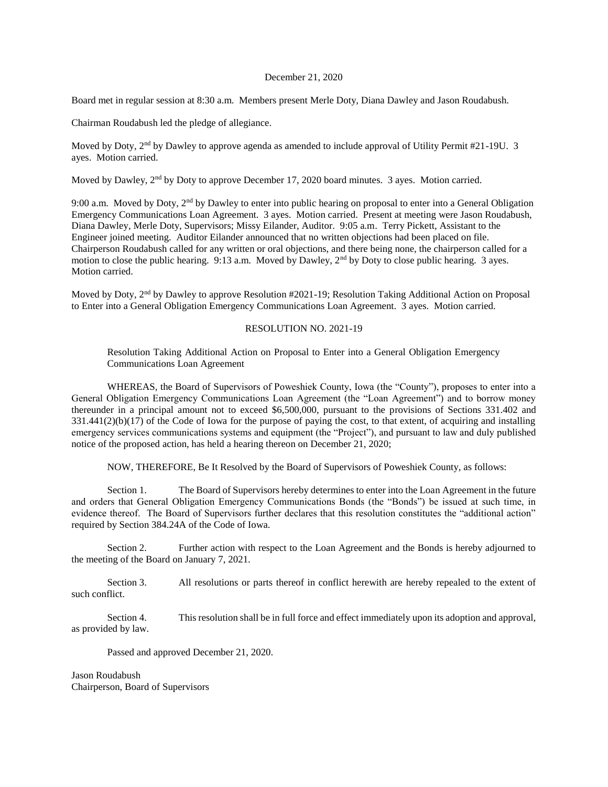## December 21, 2020

Board met in regular session at 8:30 a.m. Members present Merle Doty, Diana Dawley and Jason Roudabush.

Chairman Roudabush led the pledge of allegiance.

Moved by Doty, 2<sup>nd</sup> by Dawley to approve agenda as amended to include approval of Utility Permit #21-19U. 3 ayes. Motion carried.

Moved by Dawley, 2<sup>nd</sup> by Doty to approve December 17, 2020 board minutes. 3 ayes. Motion carried.

9:00 a.m. Moved by Doty, 2<sup>nd</sup> by Dawley to enter into public hearing on proposal to enter into a General Obligation Emergency Communications Loan Agreement. 3 ayes. Motion carried. Present at meeting were Jason Roudabush, Diana Dawley, Merle Doty, Supervisors; Missy Eilander, Auditor. 9:05 a.m. Terry Pickett, Assistant to the Engineer joined meeting. Auditor Eilander announced that no written objections had been placed on file. Chairperson Roudabush called for any written or oral objections, and there being none, the chairperson called for a motion to close the public hearing. 9:13 a.m. Moved by Dawley,  $2<sup>nd</sup>$  by Doty to close public hearing. 3 ayes. Motion carried.

Moved by Doty, 2nd by Dawley to approve Resolution #2021-19; Resolution Taking Additional Action on Proposal to Enter into a General Obligation Emergency Communications Loan Agreement. 3 ayes. Motion carried.

## RESOLUTION NO. 2021-19

Resolution Taking Additional Action on Proposal to Enter into a General Obligation Emergency Communications Loan Agreement

WHEREAS, the Board of Supervisors of Poweshiek County, Iowa (the "County"), proposes to enter into a General Obligation Emergency Communications Loan Agreement (the "Loan Agreement") and to borrow money thereunder in a principal amount not to exceed \$6,500,000, pursuant to the provisions of Sections 331.402 and 331.441(2)(b)(17) of the Code of Iowa for the purpose of paying the cost, to that extent, of acquiring and installing emergency services communications systems and equipment (the "Project"), and pursuant to law and duly published notice of the proposed action, has held a hearing thereon on December 21, 2020;

NOW, THEREFORE, Be It Resolved by the Board of Supervisors of Poweshiek County, as follows:

Section 1. The Board of Supervisors hereby determines to enter into the Loan Agreement in the future and orders that General Obligation Emergency Communications Bonds (the "Bonds") be issued at such time, in evidence thereof. The Board of Supervisors further declares that this resolution constitutes the "additional action" required by Section 384.24A of the Code of Iowa.

Section 2. Further action with respect to the Loan Agreement and the Bonds is hereby adjourned to the meeting of the Board on January 7, 2021.

Section 3. All resolutions or parts thereof in conflict herewith are hereby repealed to the extent of such conflict.

Section 4. This resolution shall be in full force and effect immediately upon its adoption and approval, as provided by law.

Passed and approved December 21, 2020.

Jason Roudabush Chairperson, Board of Supervisors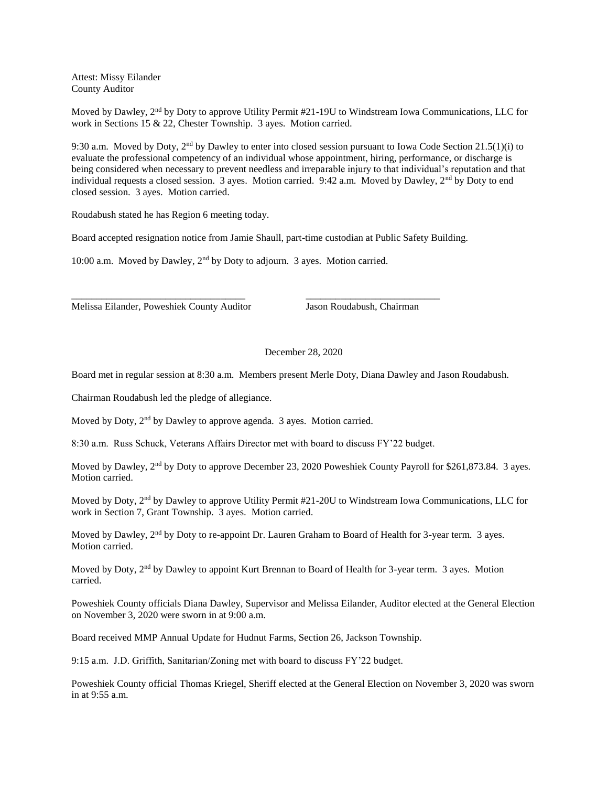Attest: Missy Eilander County Auditor

Moved by Dawley, 2<sup>nd</sup> by Doty to approve Utility Permit #21-19U to Windstream Iowa Communications, LLC for work in Sections 15 & 22, Chester Township. 3 ayes. Motion carried.

9:30 a.m. Moved by Doty,  $2<sup>nd</sup>$  by Dawley to enter into closed session pursuant to Iowa Code Section 21.5(1)(i) to evaluate the professional competency of an individual whose appointment, hiring, performance, or discharge is being considered when necessary to prevent needless and irreparable injury to that individual's reputation and that individual requests a closed session. 3 ayes. Motion carried. 9:42 a.m. Moved by Dawley, 2<sup>nd</sup> by Doty to end closed session. 3 ayes. Motion carried.

Roudabush stated he has Region 6 meeting today.

Board accepted resignation notice from Jamie Shaull, part-time custodian at Public Safety Building.

\_\_\_\_\_\_\_\_\_\_\_\_\_\_\_\_\_\_\_\_\_\_\_\_\_\_\_\_\_\_\_\_\_\_\_ \_\_\_\_\_\_\_\_\_\_\_\_\_\_\_\_\_\_\_\_\_\_\_\_\_\_\_

10:00 a.m. Moved by Dawley, 2nd by Doty to adjourn. 3 ayes. Motion carried.

Melissa Eilander, Poweshiek County Auditor Jason Roudabush, Chairman

## December 28, 2020

Board met in regular session at 8:30 a.m. Members present Merle Doty, Diana Dawley and Jason Roudabush.

Chairman Roudabush led the pledge of allegiance.

Moved by Doty, 2<sup>nd</sup> by Dawley to approve agenda. 3 ayes. Motion carried.

8:30 a.m. Russ Schuck, Veterans Affairs Director met with board to discuss FY'22 budget.

Moved by Dawley, 2<sup>nd</sup> by Doty to approve December 23, 2020 Poweshiek County Payroll for \$261,873.84. 3 ayes. Motion carried.

Moved by Doty, 2nd by Dawley to approve Utility Permit #21-20U to Windstream Iowa Communications, LLC for work in Section 7, Grant Township. 3 ayes. Motion carried.

Moved by Dawley, 2<sup>nd</sup> by Doty to re-appoint Dr. Lauren Graham to Board of Health for 3-year term. 3 ayes. Motion carried.

Moved by Doty, 2<sup>nd</sup> by Dawley to appoint Kurt Brennan to Board of Health for 3-year term. 3 ayes. Motion carried.

Poweshiek County officials Diana Dawley, Supervisor and Melissa Eilander, Auditor elected at the General Election on November 3, 2020 were sworn in at 9:00 a.m.

Board received MMP Annual Update for Hudnut Farms, Section 26, Jackson Township.

9:15 a.m. J.D. Griffith, Sanitarian/Zoning met with board to discuss FY'22 budget.

Poweshiek County official Thomas Kriegel, Sheriff elected at the General Election on November 3, 2020 was sworn in at 9:55 a.m.